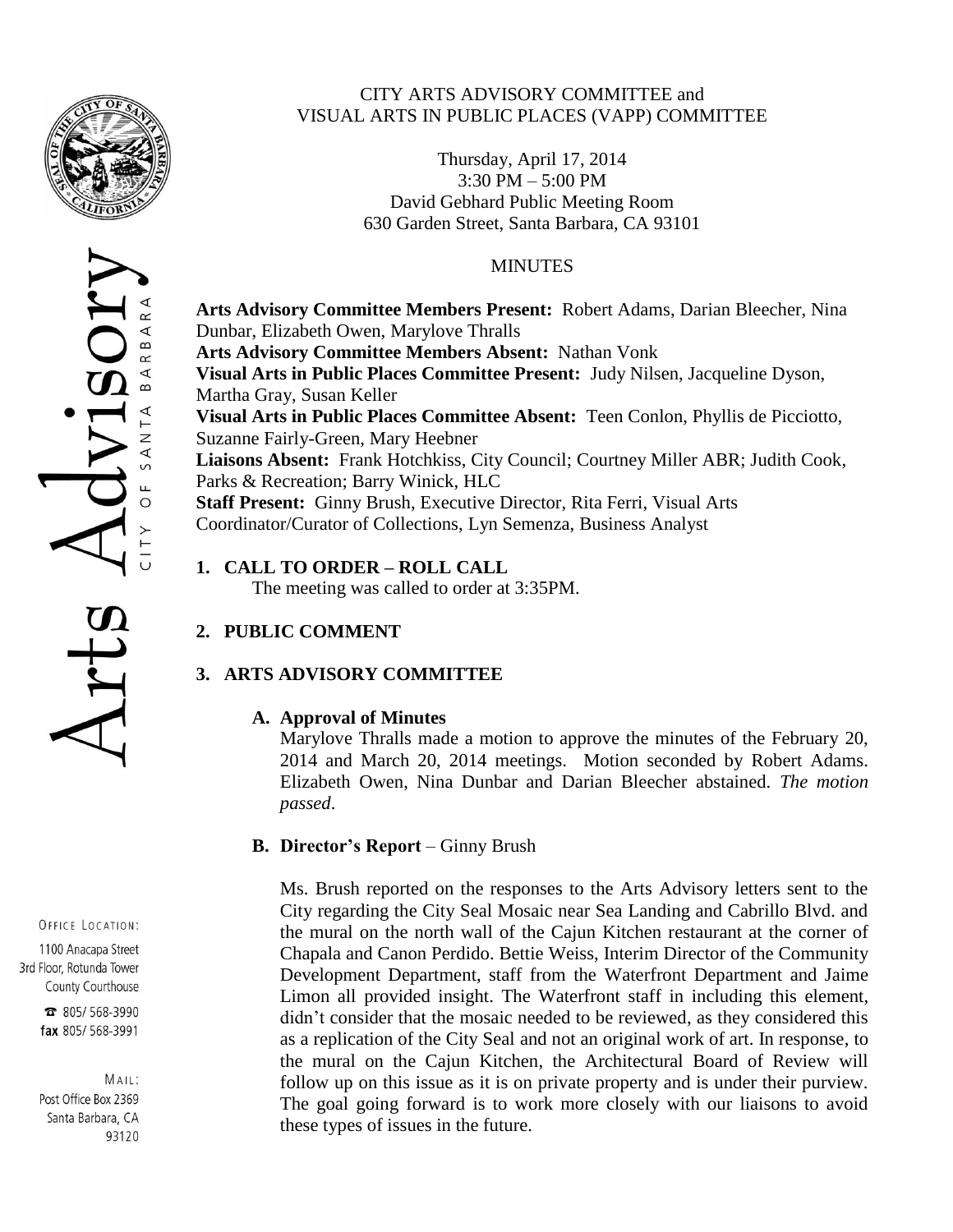

 $\propto$  $\prec$  $\, \underline{\mathrm{m}}$ 

 $\overline{z}$ ∢

Щ  $\circ$ 

### CITY ARTS ADVISORY COMMITTEE and VISUAL ARTS IN PUBLIC PLACES (VAPP) COMMITTEE

Thursday, April 17, 2014 3:30 PM – 5:00 PM David Gebhard Public Meeting Room 630 Garden Street, Santa Barbara, CA 93101

#### MINUTES

**Arts Advisory Committee Members Present:** Robert Adams, Darian Bleecher, Nina Dunbar, Elizabeth Owen, Marylove Thralls **Arts Advisory Committee Members Absent:** Nathan Vonk **Visual Arts in Public Places Committee Present:** Judy Nilsen, Jacqueline Dyson, Martha Gray, Susan Keller **Visual Arts in Public Places Committee Absent:** Teen Conlon, Phyllis de Picciotto, Suzanne Fairly-Green, Mary Heebner **Liaisons Absent:** Frank Hotchkiss, City Council; Courtney Miller ABR; Judith Cook, Parks & Recreation; Barry Winick, HLC **Staff Present:** Ginny Brush, Executive Director, Rita Ferri, Visual Arts Coordinator/Curator of Collections, Lyn Semenza, Business Analyst

# **1. CALL TO ORDER – ROLL CALL**

The meeting was called to order at 3:35PM.

# **2. PUBLIC COMMENT**

# **3. ARTS ADVISORY COMMITTEE**

# **A. Approval of Minutes**

Marylove Thralls made a motion to approve the minutes of the February 20, 2014 and March 20, 2014 meetings. Motion seconded by Robert Adams. Elizabeth Owen, Nina Dunbar and Darian Bleecher abstained. *The motion passed*.

# **B. Director's Report** – Ginny Brush

Ms. Brush reported on the responses to the Arts Advisory letters sent to the City regarding the City Seal Mosaic near Sea Landing and Cabrillo Blvd. and the mural on the north wall of the Cajun Kitchen restaurant at the corner of Chapala and Canon Perdido. Bettie Weiss, Interim Director of the Community Development Department, staff from the Waterfront Department and Jaime Limon all provided insight. The Waterfront staff in including this element, didn't consider that the mosaic needed to be reviewed, as they considered this as a replication of the City Seal and not an original work of art. In response, to the mural on the Cajun Kitchen, the Architectural Board of Review will follow up on this issue as it is on private property and is under their purview. The goal going forward is to work more closely with our liaisons to avoid these types of issues in the future.

#### OFFICE LOCATION:

1100 Anacapa Street 3rd Floor, Rotunda Tower County Courthouse

> 2 805/568-3990 fax 805/568-3991

MAIL: Post Office Box 2369 Santa Barbara, CA 93120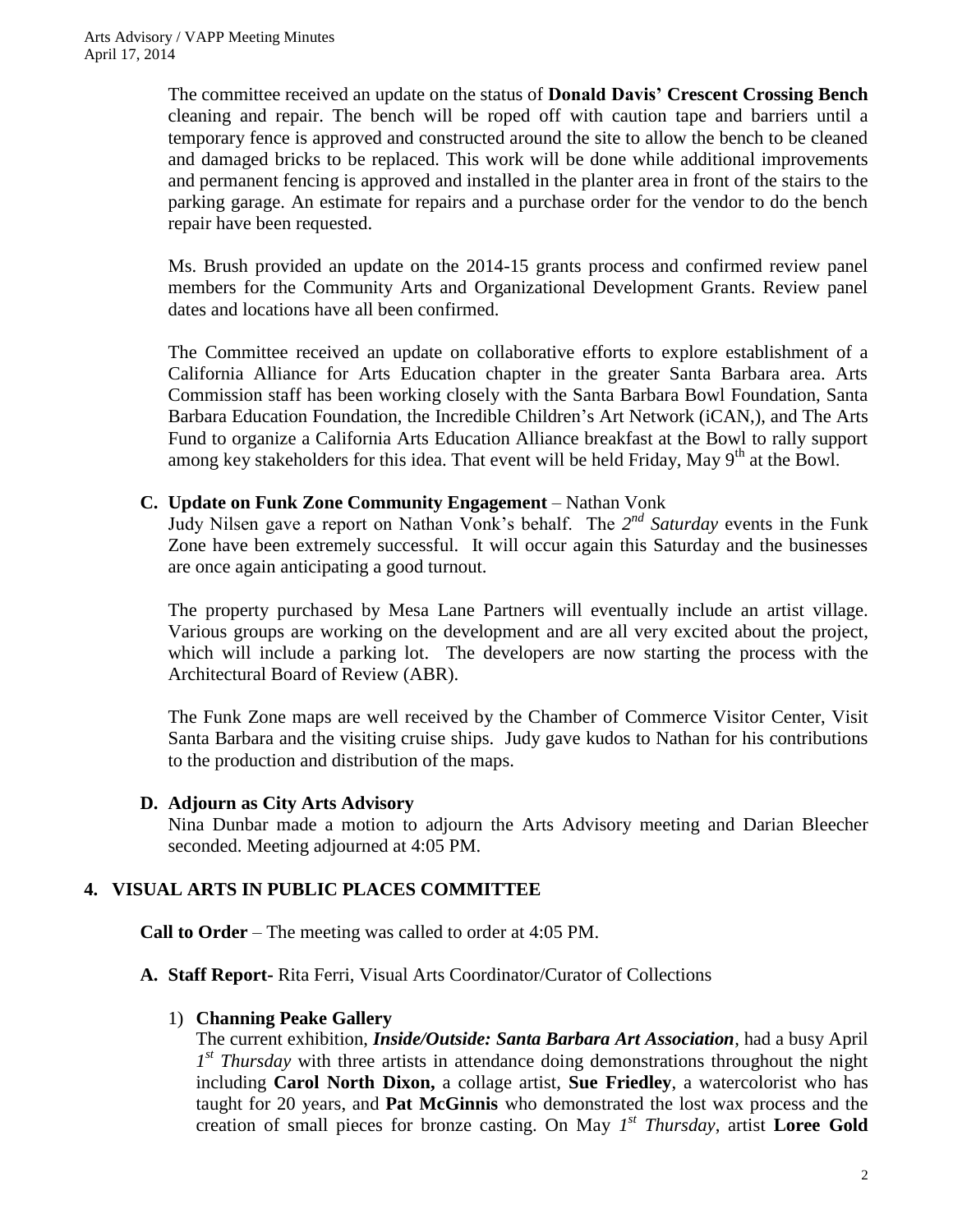The committee received an update on the status of **Donald Davis' Crescent Crossing Bench** cleaning and repair. The bench will be roped off with caution tape and barriers until a temporary fence is approved and constructed around the site to allow the bench to be cleaned and damaged bricks to be replaced. This work will be done while additional improvements and permanent fencing is approved and installed in the planter area in front of the stairs to the parking garage. An estimate for repairs and a purchase order for the vendor to do the bench repair have been requested.

Ms. Brush provided an update on the 2014-15 grants process and confirmed review panel members for the Community Arts and Organizational Development Grants. Review panel dates and locations have all been confirmed.

The Committee received an update on collaborative efforts to explore establishment of a California Alliance for Arts Education chapter in the greater Santa Barbara area. Arts Commission staff has been working closely with the Santa Barbara Bowl Foundation, Santa Barbara Education Foundation, the Incredible Children's Art Network (iCAN,), and The Arts Fund to organize a California Arts Education Alliance breakfast at the Bowl to rally support among key stakeholders for this idea. That event will be held Friday, May  $9<sup>th</sup>$  at the Bowl.

#### **C. Update on Funk Zone Community Engagement** – Nathan Vonk

Judy Nilsen gave a report on Nathan Vonk's behalf. The 2<sup>nd</sup> Saturday events in the Funk Zone have been extremely successful. It will occur again this Saturday and the businesses are once again anticipating a good turnout.

The property purchased by Mesa Lane Partners will eventually include an artist village. Various groups are working on the development and are all very excited about the project, which will include a parking lot. The developers are now starting the process with the Architectural Board of Review (ABR).

The Funk Zone maps are well received by the Chamber of Commerce Visitor Center, Visit Santa Barbara and the visiting cruise ships. Judy gave kudos to Nathan for his contributions to the production and distribution of the maps.

#### **D. Adjourn as City Arts Advisory**

Nina Dunbar made a motion to adjourn the Arts Advisory meeting and Darian Bleecher seconded. Meeting adjourned at 4:05 PM.

# **4. VISUAL ARTS IN PUBLIC PLACES COMMITTEE**

**Call to Order** – The meeting was called to order at 4:05 PM.

# **A. Staff Report-** Rita Ferri, Visual Arts Coordinator/Curator of Collections

#### 1) **Channing Peake Gallery**

The current exhibition, *Inside/Outside: Santa Barbara Art Association*, had a busy April 1<sup>st</sup> Thursday with three artists in attendance doing demonstrations throughout the night including **Carol North Dixon,** a collage artist, **Sue Friedley**, a watercolorist who has taught for 20 years, and **Pat McGinnis** who demonstrated the lost wax process and the creation of small pieces for bronze casting. On May *1 st Thursday*, artist **Loree Gold**